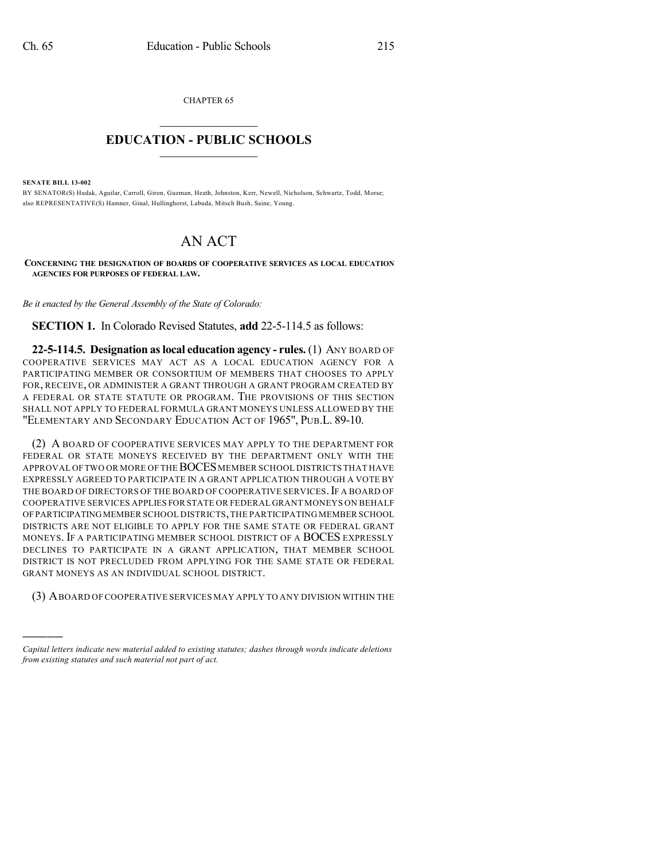CHAPTER 65

## $\mathcal{L}_\text{max}$  . The set of the set of the set of the set of the set of the set of the set of the set of the set of the set of the set of the set of the set of the set of the set of the set of the set of the set of the set **EDUCATION - PUBLIC SCHOOLS**  $\_$   $\_$   $\_$   $\_$   $\_$   $\_$   $\_$   $\_$   $\_$

**SENATE BILL 13-002**

)))))

BY SENATOR(S) Hudak, Aguilar, Carroll, Giron, Guzman, Heath, Johnston, Kerr, Newell, Nicholson, Schwartz, Todd, Morse; also REPRESENTATIVE(S) Hamner, Ginal, Hullinghorst, Labuda, Mitsch Bush, Saine, Young.

## AN ACT

**CONCERNING THE DESIGNATION OF BOARDS OF COOPERATIVE SERVICES AS LOCAL EDUCATION AGENCIES FOR PURPOSES OF FEDERAL LAW.**

*Be it enacted by the General Assembly of the State of Colorado:*

**SECTION 1.** In Colorado Revised Statutes, **add** 22-5-114.5 as follows:

**22-5-114.5. Designation aslocal education agency - rules.** (1) ANY BOARD OF COOPERATIVE SERVICES MAY ACT AS A LOCAL EDUCATION AGENCY FOR A PARTICIPATING MEMBER OR CONSORTIUM OF MEMBERS THAT CHOOSES TO APPLY FOR, RECEIVE, OR ADMINISTER A GRANT THROUGH A GRANT PROGRAM CREATED BY A FEDERAL OR STATE STATUTE OR PROGRAM. THE PROVISIONS OF THIS SECTION SHALL NOT APPLY TO FEDERAL FORMULA GRANT MONEYS UNLESS ALLOWED BY THE "ELEMENTARY AND SECONDARY EDUCATION ACT OF 1965", PUB.L. 89-10.

(2) A BOARD OF COOPERATIVE SERVICES MAY APPLY TO THE DEPARTMENT FOR FEDERAL OR STATE MONEYS RECEIVED BY THE DEPARTMENT ONLY WITH THE APPROVAL OF TWO OR MORE OF THE BOCES MEMBER SCHOOL DISTRICTS THAT HAVE EXPRESSLY AGREED TO PARTICIPATE IN A GRANT APPLICATION THROUGH A VOTE BY THE BOARD OF DIRECTORS OF THE BOARD OF COOPERATIVE SERVICES. IF A BOARD OF COOPERATIVE SERVICES APPLIES FOR STATE OR FEDERAL GRANT MONEYS ON BEHALF OFPARTICIPATINGMEMBER SCHOOL DISTRICTS,THE PARTICIPATING MEMBER SCHOOL DISTRICTS ARE NOT ELIGIBLE TO APPLY FOR THE SAME STATE OR FEDERAL GRANT MONEYS. IF A PARTICIPATING MEMBER SCHOOL DISTRICT OF A BOCES EXPRESSLY DECLINES TO PARTICIPATE IN A GRANT APPLICATION, THAT MEMBER SCHOOL DISTRICT IS NOT PRECLUDED FROM APPLYING FOR THE SAME STATE OR FEDERAL GRANT MONEYS AS AN INDIVIDUAL SCHOOL DISTRICT.

(3) ABOARD OF COOPERATIVE SERVICES MAY APPLY TO ANY DIVISION WITHIN THE

*Capital letters indicate new material added to existing statutes; dashes through words indicate deletions from existing statutes and such material not part of act.*